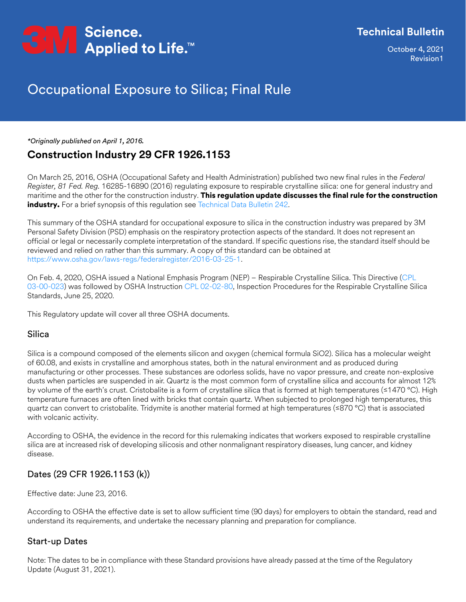

October �, 2021 Revision�

## Occupational Exposure to Silica; Final Rule

*\*Originally published on April 1, 2016.*

### **Construction Industry 29 CFR 1926.1153**

On March 25, 2016, OSHA (Occupational Safety and Health Administration) published two new final rules in the *Federal Register, 81 Fed. Reg.* 16285-16890 (2016) regulating exposure to respirable crystalline silica: one for general industry and maritime and the other for the construction industry. This regulation update discusses the final rule for the construction industry. For a brief synopsis of this regulation see [Technical Data Bulletin 242.](https://multimedia.3m.com/mws/media/1243439O/respirable-crystalline-silica-in-construction-technical-data-bulletin-242.pdf)

This summary of the OSHA standard for occupational exposure to silica in the construction industry was prepared by 3M Personal Safety Division (PSD) emphasis on the respiratory protection aspects of the standard. It does not represent an official or legal or necessarily complete interpretation of the standard. If specific questions rise, the standard itself should be reviewed and relied on rather than this summary. A copy of this standard can be obtained at [https://www.osha.gov/laws-regs/federalregister/2016-03-25-1.](https://www.osha.gov/laws-regs/federalregister/2016-03-25-1)

On Feb. 4, 2020, OSHA issued a National Emphasis Program (NEP) – Respirable Crystalline Silica. This Directive (CPL [03-00-023](https://www.osha.gov/sites/default/files/enforcement/directives/CPL_03-00-023.pdf)) was followed by OSHA Instruction [CPL 02-02-80](https://www.osha.gov/sites/default/files/enforcement/directives/CPL_02-02-080.pdf), Inspection Procedures for the Respirable Crystalline Silica Standards, June 25, 2020.

This Regulatory update will cover all three OSHA documents.

### Silica

Silica is a compound composed of the elements silicon and oxygen (chemical formula SiO2). Silica has a molecular weight of 60.08, and exists in crystalline and amorphous states, both in the natural environment and as produced during manufacturing or other processes. These substances are odorless solids, have no vapor pressure, and create non-explosive dusts when particles are suspended in air. Quartz is the most common form of crystalline silica and accounts for almost 12% by volume of the earth's crust. Cristobalite is a form of crystalline silica that is formed at high temperatures (≤1470 °C). High temperature furnaces are often lined with bricks that contain quartz. When subjected to prolonged high temperatures, this quartz can convert to cristobalite. Tridymite is another material formed at high temperatures (≤870 °C) that is associated with volcanic activity.

According to OSHA, the evidence in the record for this rulemaking indicates that workers exposed to respirable crystalline silica are at increased risk of developing silicosis and other nonmalignant respiratory diseases, lung cancer, and kidney disease.

### Dates (29 CFR 1926.1153 (k))

Effective date: June 23, 2016.

According to OSHA the effective date is set to allow sufficient time (90 days) for employers to obtain the standard, read and understand its requirements, and undertake the necessary planning and preparation for compliance.

### Start-up Dates

Note: The dates to be in compliance with these Standard provisions have already passed at the time of the Regulatory Update (August 31, 2021).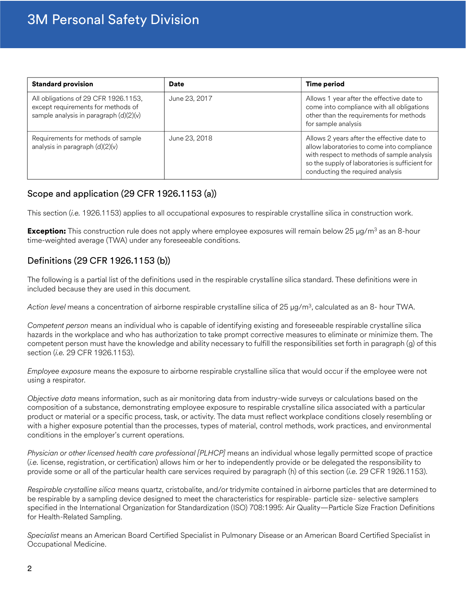| <b>Standard provision</b>                                                                                              | <b>Date</b>   | <b>Time period</b>                                                                                                                                                                                                            |
|------------------------------------------------------------------------------------------------------------------------|---------------|-------------------------------------------------------------------------------------------------------------------------------------------------------------------------------------------------------------------------------|
| All obligations of 29 CFR 1926.1153,<br>except requirements for methods of<br>sample analysis in paragraph $(d)(2)(v)$ | June 23, 2017 | Allows 1 year after the effective date to<br>come into compliance with all obligations<br>other than the requirements for methods<br>for sample analysis                                                                      |
| Requirements for methods of sample<br>analysis in paragraph $(d)(2)(v)$                                                | June 23, 2018 | Allows 2 years after the effective date to<br>allow laboratories to come into compliance<br>with respect to methods of sample analysis<br>so the supply of laboratories is sufficient for<br>conducting the required analysis |

### Scope and application (29 CFR 1926.1153 (a))

This section (*i.e.* 1926.1153) applies to all occupational exposures to respirable crystalline silica in construction work.

**Exception:** This construction rule does not apply where employee exposures will remain below 25  $\mu$ g/m<sup>3</sup> as an 8-hour time-weighted average (TWA) under any foreseeable conditions.

### Definitions (29 CFR 1926.1153 (b))

The following is a partial list of the definitions used in the respirable crystalline silica standard. These definitions were in included because they are used in this document.

*Action level* means a concentration of airborne respirable crystalline silica of 25 µg/m<sup>3</sup> , calculated as an 8- hour TWA.

*Competent person* means an individual who is capable of identifying existing and foreseeable respirable crystalline silica hazards in the workplace and who has authorization to take prompt corrective measures to eliminate or minimize them. The competent person must have the knowledge and ability necessary to fulfill the responsibilities set forth in paragraph (g) of this section (*i.e.* 29 CFR 1926.1153).

*Employee exposure* means the exposure to airborne respirable crystalline silica that would occur if the employee were not using a respirator.

*Objective data* means information, such as air monitoring data from industry-wide surveys or calculations based on the composition of a substance, demonstrating employee exposure to respirable crystalline silica associated with a particular product or material or a specific process, task, or activity. The data must reflect workplace conditions closely resembling or with a higher exposure potential than the processes, types of material, control methods, work practices, and environmental conditions in the employer's current operations.

*Physician or other licensed health care professional [PLHCP]* means an individual whose legally permitted scope of practice (*i.e.* license, registration, or certification) allows him or her to independently provide or be delegated the responsibility to provide some or all of the particular health care services required by paragraph (h) of this section (*i.e.* 29 CFR 1926.1153).

*Respirable crystalline silica* means quartz, cristobalite, and/or tridymite contained in airborne particles that are determined to be respirable by a sampling device designed to meet the characteristics for respirable- particle size- selective samplers specified in the International Organization for Standardization (ISO) 708:1995: Air Quality—Particle Size Fraction Definitions for Health-Related Sampling.

*Specialist* means an American Board Certified Specialist in Pulmonary Disease or an American Board Certified Specialist in Occupational Medicine.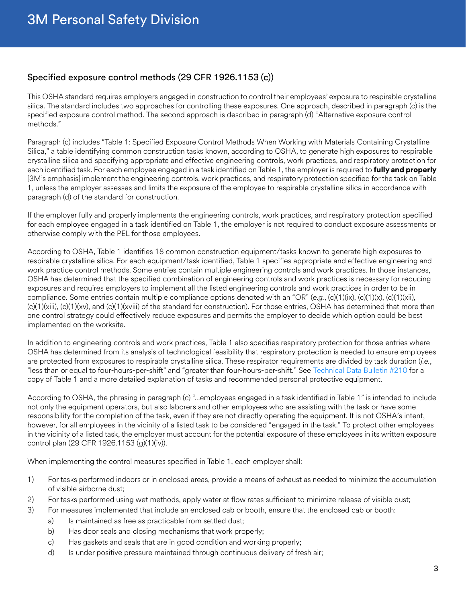### Specified exposure control methods (29 CFR 1926.1153 (c))

This OSHA standard requires employers engaged in construction to control their employees' exposure to respirable crystalline silica. The standard includes two approaches for controlling these exposures. One approach, described in paragraph (c) is the specified exposure control method. The second approach is described in paragraph (d) "Alternative exposure control methods."

Paragraph (c) includes "Table 1: Specified Exposure Control Methods When Working with Materials Containing Crystalline Silica," a table identifying common construction tasks known, according to OSHA, to generate high exposures to respirable crystalline silica and specifying appropriate and effective engineering controls, work practices, and respiratory protection for each identified task. For each employee engaged in a task identified on Table 1, the employer is required to **fully and properly** [3M's emphasis] implement the engineering controls, work practices, and respiratory protection specified for the task on Table 1, unless the employer assesses and limits the exposure of the employee to respirable crystalline silica in accordance with paragraph (d) of the standard for construction.

If the employer fully and properly implements the engineering controls, work practices, and respiratory protection specified for each employee engaged in a task identified on Table 1, the employer is not required to conduct exposure assessments or otherwise comply with the PEL for those employees.

According to OSHA, Table 1 identifies 18 common construction equipment/tasks known to generate high exposures to respirable crystalline silica. For each equipment/task identified, Table 1 specifies appropriate and effective engineering and work practice control methods. Some entries contain multiple engineering controls and work practices. In those instances, OSHA has determined that the specified combination of engineering controls and work practices is necessary for reducing exposures and requires employers to implement all the listed engineering controls and work practices in order to be in compliance. Some entries contain multiple compliance options denoted with an "OR" (*e.g.*, (c)(1)(ix), (c)(1)(x), (c)(1)(xii), (c)(1)(xiii), (c)(1)(xv), and (c)(1)(xviii) of the standard for construction). For those entries, OSHA has determined that more than one control strategy could effectively reduce exposures and permits the employer to decide which option could be best implemented on the worksite.

In addition to engineering controls and work practices, Table 1 also specifies respiratory protection for those entries where OSHA has determined from its analysis of technological feasibility that respiratory protection is needed to ensure employees are protected from exposures to respirable crystalline silica. These respirator requirements are divided by task duration (*i.e.*, "less than or equal to four-hours-per-shift" and "greater than four-hours-per-shift." See [Technical Data Bulletin #210](https://multimedia.3m.com/mws/media/2057181O/3m-taskbased-ppe-suggestions-for-silica-in-the-construction-industry.pdf) for a copy of Table 1 and a more detailed explanation of tasks and recommended personal protective equipment.

According to OSHA, the phrasing in paragraph (c) "…employees engaged in a task identified in Table 1" is intended to include not only the equipment operators, but also laborers and other employees who are assisting with the task or have some responsibility for the completion of the task, even if they are not directly operating the equipment. It is not OSHA's intent, however, for all employees in the vicinity of a listed task to be considered "engaged in the task." To protect other employees in the vicinity of a listed task, the employer must account for the potential exposure of these employees in its written exposure control plan (29 CFR 1926.1153 (g)(1)(iv)).

When implementing the control measures specified in Table 1, each employer shall:

- 1) For tasks performed indoors or in enclosed areas, provide a means of exhaust as needed to minimize the accumulation of visible airborne dust;
- 2) For tasks performed using wet methods, apply water at flow rates sufficient to minimize release of visible dust;
- 3) For measures implemented that include an enclosed cab or booth, ensure that the enclosed cab or booth:
	- a) Is maintained as free as practicable from settled dust;
	- b) Has door seals and closing mechanisms that work properly;
	- c) Has gaskets and seals that are in good condition and working properly;
	- d) Is under positive pressure maintained through continuous delivery of fresh air;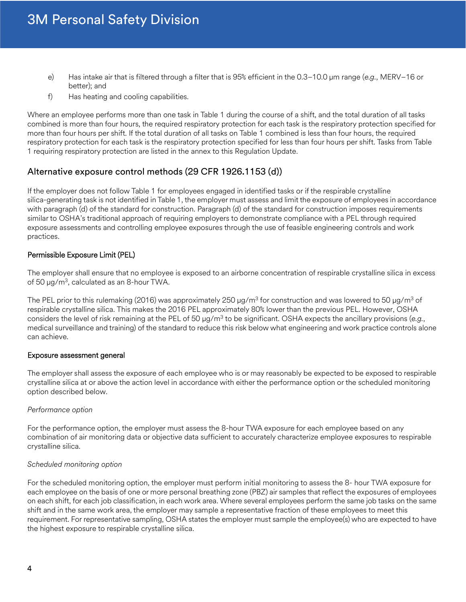- e) Has intake air that is filtered through a filter that is 95% efficient in the 0.3–10.0 µm range (*e.g.*, MERV–16 or better); and
- f) Has heating and cooling capabilities.

Where an employee performs more than one task in Table 1 during the course of a shift, and the total duration of all tasks combined is more than four hours, the required respiratory protection for each task is the respiratory protection specified for more than four hours per shift. If the total duration of all tasks on Table 1 combined is less than four hours, the required respiratory protection for each task is the respiratory protection specified for less than four hours per shift. Tasks from Table 1 requiring respiratory protection are listed in the annex to this Regulation Update.

### Alternative exposure control methods (29 CFR 1926.1153 (d))

If the employer does not follow Table 1 for employees engaged in identified tasks or if the respirable crystalline silica-generating task is not identified in Table 1, the employer must assess and limit the exposure of employees in accordance with paragraph (d) of the standard for construction. Paragraph (d) of the standard for construction imposes requirements similar to OSHA's traditional approach of requiring employers to demonstrate compliance with a PEL through required exposure assessments and controlling employee exposures through the use of feasible engineering controls and work practices.

### Permissible Exposure Limit (PEL)

The employer shall ensure that no employee is exposed to an airborne concentration of respirable crystalline silica in excess of 50 µg/m<sup>3</sup>, calculated as an 8-hour TWA.

The PEL prior to this rulemaking (2016) was approximately 250  $\mu$ g/m $^3$  for construction and was lowered to 50  $\mu$ g/m $^3$  of respirable crystalline silica. This makes the 2016 PEL approximately 80% lower than the previous PEL. However, OSHA considers the level of risk remaining at the PEL of 50 µg/m<sup>3</sup> to be significant. OSHA expects the ancillary provisions (e.g., medical surveillance and training) of the standard to reduce this risk below what engineering and work practice controls alone can achieve.

#### Exposure assessment general

The employer shall assess the exposure of each employee who is or may reasonably be expected to be exposed to respirable crystalline silica at or above the action level in accordance with either the performance option or the scheduled monitoring option described below.

### *Performance option*

For the performance option, the employer must assess the 8-hour TWA exposure for each employee based on any combination of air monitoring data or objective data sufficient to accurately characterize employee exposures to respirable crystalline silica.

#### *Scheduled monitoring option*

For the scheduled monitoring option, the employer must perform initial monitoring to assess the 8- hour TWA exposure for each employee on the basis of one or more personal breathing zone (PBZ) air samples that reflect the exposures of employees on each shift, for each job classification, in each work area. Where several employees perform the same job tasks on the same shift and in the same work area, the employer may sample a representative fraction of these employees to meet this requirement. For representative sampling, OSHA states the employer must sample the employee(s) who are expected to have the highest exposure to respirable crystalline silica.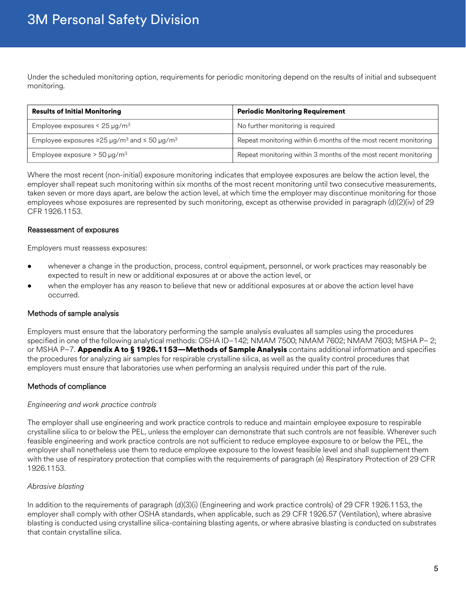Under the scheduled monitoring option, requirements for periodic monitoring depend on the results of initial and subsequent monitoring.

| <b>Results of Initial Monitoring</b>                                           | <b>Periodic Monitoring Requirement</b>                          |
|--------------------------------------------------------------------------------|-----------------------------------------------------------------|
| Employee exposures < $25 \mu g/m^3$                                            | No further monitoring is required                               |
| Employee exposures $\geq$ 25 µg/m <sup>3</sup> and $\leq$ 50 µg/m <sup>3</sup> | Repeat monitoring within 6 months of the most recent monitoring |
| Employee exposure $>$ 50 µg/m <sup>3</sup>                                     | Repeat monitoring within 3 months of the most recent monitoring |

Where the most recent (non-initial) exposure monitoring indicates that employee exposures are below the action level, the employer shall repeat such monitoring within six months of the most recent monitoring until two consecutive measurements, taken seven or more days apart, are below the action level, at which time the employer may discontinue monitoring for those employees whose exposures are represented by such monitoring, except as otherwise provided in paragraph (d)(2)(iv) of 29 CFR 1926.1153.

#### Reassessment of exposures

Employers must reassess exposures:

- whenever a change in the production, process, control equipment, personnel, or work practices may reasonably be expected to result in new or additional exposures at or above the action level, or
- when the employer has any reason to believe that new or additional exposures at or above the action level have occurred.

### Methods of sample analysis

Employers must ensure that the laboratory performing the sample analysis evaluates all samples using the procedures specified in one of the following analytical methods: OSHA ID–142; NMAM 7500; NMAM 7602; NMAM 7603; MSHA P– 2; or MSHA P–7. Appendix A to § 1926.1153—Methods of Sample Analysis contains additional information and specifies the procedures for analyzing air samples for respirable crystalline silica, as well as the quality control procedures that employers must ensure that laboratories use when performing an analysis required under this part of the rule.

### Methods of compliance

#### *Engineering and work practice controls*

The employer shall use engineering and work practice controls to reduce and maintain employee exposure to respirable crystalline silica to or below the PEL, unless the employer can demonstrate that such controls are not feasible. Wherever such feasible engineering and work practice controls are not sufficient to reduce employee exposure to or below the PEL, the employer shall nonetheless use them to reduce employee exposure to the lowest feasible level and shall supplement them with the use of respiratory protection that complies with the requirements of paragraph (e) Respiratory Protection of 29 CFR 1926.1153.

### *Abrasive blasting*

In addition to the requirements of paragraph (d)(3)(i) (Engineering and work practice controls) of 29 CFR 1926.1153, the employer shall comply with other OSHA standards, when applicable, such as 29 CFR 1926.57 (Ventilation), where abrasive blasting is conducted using crystalline silica-containing blasting agents, or where abrasive blasting is conducted on substrates that contain crystalline silica.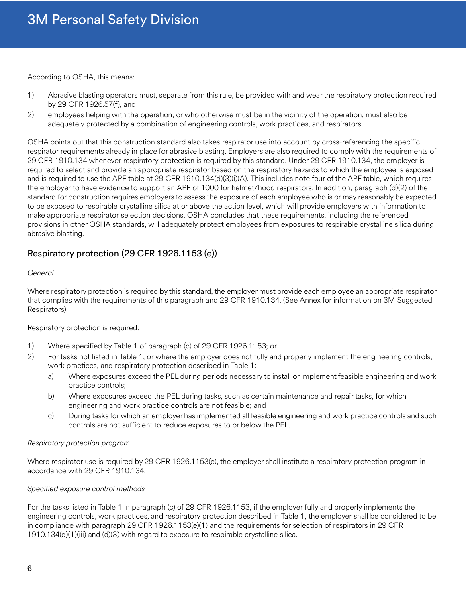According to OSHA, this means:

- 1) Abrasive blasting operators must, separate from this rule, be provided with and wear the respiratory protection required by 29 CFR 1926.57(f), and
- 2) employees helping with the operation, or who otherwise must be in the vicinity of the operation, must also be adequately protected by a combination of engineering controls, work practices, and respirators.

OSHA points out that this construction standard also takes respirator use into account by cross-referencing the specific respirator requirements already in place for abrasive blasting. Employers are also required to comply with the requirements of 29 CFR 1910.134 whenever respiratory protection is required by this standard. Under 29 CFR 1910.134, the employer is required to select and provide an appropriate respirator based on the respiratory hazards to which the employee is exposed and is required to use the APF table at 29 CFR 1910.134(d)(3)(i)(A). This includes note four of the APF table, which requires the employer to have evidence to support an APF of 1000 for helmet/hood respirators. In addition, paragraph (d)(2) of the standard for construction requires employers to assess the exposure of each employee who is or may reasonably be expected to be exposed to respirable crystalline silica at or above the action level, which will provide employers with information to make appropriate respirator selection decisions. OSHA concludes that these requirements, including the referenced provisions in other OSHA standards, will adequately protect employees from exposures to respirable crystalline silica during abrasive blasting.

### Respiratory protection (29 CFR 1926.1153 (e))

#### *General*

Where respiratory protection is required by this standard, the employer must provide each employee an appropriate respirator that complies with the requirements of this paragraph and 29 CFR 1910.134. (See Annex for information on 3M Suggested Respirators).

Respiratory protection is required:

- 1) Where specified by Table 1 of paragraph (c) of 29 CFR 1926.1153; or
- 2) For tasks not listed in Table 1, or where the employer does not fully and properly implement the engineering controls, work practices, and respiratory protection described in Table 1:
	- a) Where exposures exceed the PEL during periods necessary to install or implement feasible engineering and work practice controls;
	- b) Where exposures exceed the PEL during tasks, such as certain maintenance and repair tasks, for which engineering and work practice controls are not feasible; and
	- c) During tasks for which an employer has implemented all feasible engineering and work practice controls and such controls are not sufficient to reduce exposures to or below the PEL.

### *Respiratory protection program*

Where respirator use is required by 29 CFR 1926.1153(e), the employer shall institute a respiratory protection program in accordance with 29 CFR 1910.134.

### *Specified exposure control methods*

For the tasks listed in Table 1 in paragraph (c) of 29 CFR 1926.1153, if the employer fully and properly implements the engineering controls, work practices, and respiratory protection described in Table 1, the employer shall be considered to be in compliance with paragraph 29 CFR 1926.1153(e)(1) and the requirements for selection of respirators in 29 CFR 1910.134(d)(1)(iii) and (d)(3) with regard to exposure to respirable crystalline silica.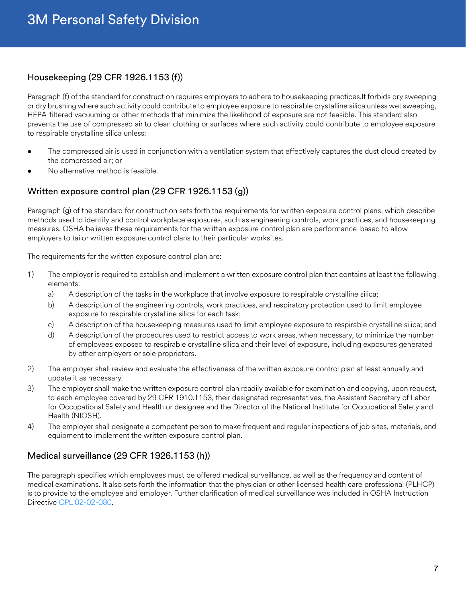### Housekeeping (29 CFR 1926.1153 (f))

Paragraph (f) of the standard for construction requires employers to adhere to housekeeping practices.It forbids dry sweeping or dry brushing where such activity could contribute to employee exposure to respirable crystalline silica unless wet sweeping, HEPA-filtered vacuuming or other methods that minimize the likelihood of exposure are not feasible. This standard also prevents the use of compressed air to clean clothing or surfaces where such activity could contribute to employee exposure to respirable crystalline silica unless:

- The compressed air is used in conjunction with a ventilation system that effectively captures the dust cloud created by the compressed air; or
- No alternative method is feasible.

### Written exposure control plan (29 CFR 1926.1153 (g))

Paragraph (g) of the standard for construction sets forth the requirements for written exposure control plans, which describe methods used to identify and control workplace exposures, such as engineering controls, work practices, and housekeeping measures. OSHA believes these requirements for the written exposure control plan are performance-based to allow employers to tailor written exposure control plans to their particular worksites.

The requirements for the written exposure control plan are:

- 1) The employer is required to establish and implement a written exposure control plan that contains at least the following elements:
	- a) A description of the tasks in the workplace that involve exposure to respirable crystalline silica;
	- b) A description of the engineering controls, work practices, and respiratory protection used to limit employee exposure to respirable crystalline silica for each task;
	- c) A description of the housekeeping measures used to limit employee exposure to respirable crystalline silica; and
	- d) A description of the procedures used to restrict access to work areas, when necessary, to minimize the number of employees exposed to respirable crystalline silica and their level of exposure, including exposures generated by other employers or sole proprietors.
- 2) The employer shall review and evaluate the effectiveness of the written exposure control plan at least annually and update it as necessary.
- 3) The employer shall make the written exposure control plan readily available for examination and copying, upon request, to each employee covered by 29 CFR 1910.1153, their designated representatives, the Assistant Secretary of Labor for Occupational Safety and Health or designee and the Director of the National Institute for Occupational Safety and Health (NIOSH).
- 4) The employer shall designate a competent person to make frequent and regular inspections of job sites, materials, and equipment to implement the written exposure control plan.

### Medical surveillance (29 CFR 1926.1153 (h))

The paragraph specifies which employees must be offered medical surveillance, as well as the frequency and content of medical examinations. It also sets forth the information that the physician or other licensed health care professional (PLHCP) is to provide to the employee and employer. Further clarification of medical surveillance was included in OSHA Instruction Directive [CPL 02-02-080.](https://www.osha.gov/sites/default/files/enforcement/directives/CPL_02-02-080.pdf)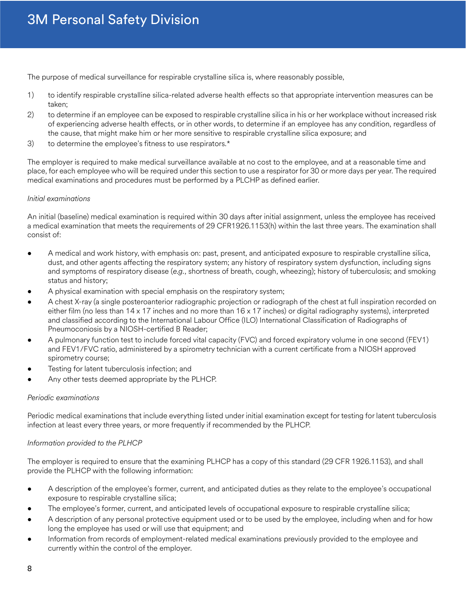The purpose of medical surveillance for respirable crystalline silica is, where reasonably possible,

- 1) to identify respirable crystalline silica-related adverse health effects so that appropriate intervention measures can be taken;
- 2) to determine if an employee can be exposed to respirable crystalline silica in his or her workplace without increased risk of experiencing adverse health effects, or in other words, to determine if an employee has any condition, regardless of the cause, that might make him or her more sensitive to respirable crystalline silica exposure; and
- 3) to determine the employee's fitness to use respirators.\*

The employer is required to make medical surveillance available at no cost to the employee, and at a reasonable time and place, for each employee who will be required under this section to use a respirator for 30 or more days per year. The required medical examinations and procedures must be performed by a PLCHP as defined earlier.

### *Initial examinations*

An initial (baseline) medical examination is required within 30 days after initial assignment, unless the employee has received a medical examination that meets the requirements of 29 CFR1926.1153(h) within the last three years. The examination shall consist of:

- A medical and work history, with emphasis on: past, present, and anticipated exposure to respirable crystalline silica, dust, and other agents affecting the respiratory system; any history of respiratory system dysfunction, including signs and symptoms of respiratory disease (*e.g.*, shortness of breath, cough, wheezing); history of tuberculosis; and smoking status and history;
- A physical examination with special emphasis on the respiratory system;
- A chest X-ray (a single posteroanterior radiographic projection or radiograph of the chest at full inspiration recorded on either film (no less than 14 x 17 inches and no more than 16 x 17 inches) or digital radiography systems), interpreted and classified according to the International Labour Office (ILO) International Classification of Radiographs of Pneumoconiosis by a NIOSH-certified B Reader;
- A pulmonary function test to include forced vital capacity (FVC) and forced expiratory volume in one second (FEV1) and FEV1/FVC ratio, administered by a spirometry technician with a current certificate from a NIOSH approved spirometry course;
- Testing for latent tuberculosis infection; and
- Any other tests deemed appropriate by the PLHCP.

### *Periodic examinations*

Periodic medical examinations that include everything listed under initial examination except for testing for latent tuberculosis infection at least every three years, or more frequently if recommended by the PLHCP.

### *Information provided to the PLHCP*

The employer is required to ensure that the examining PLHCP has a copy of this standard (29 CFR 1926.1153), and shall provide the PLHCP with the following information:

- A description of the employee's former, current, and anticipated duties as they relate to the employee's occupational exposure to respirable crystalline silica;
- The employee's former, current, and anticipated levels of occupational exposure to respirable crystalline silica;
- A description of any personal protective equipment used or to be used by the employee, including when and for how long the employee has used or will use that equipment; and
- Information from records of employment-related medical examinations previously provided to the employee and currently within the control of the employer.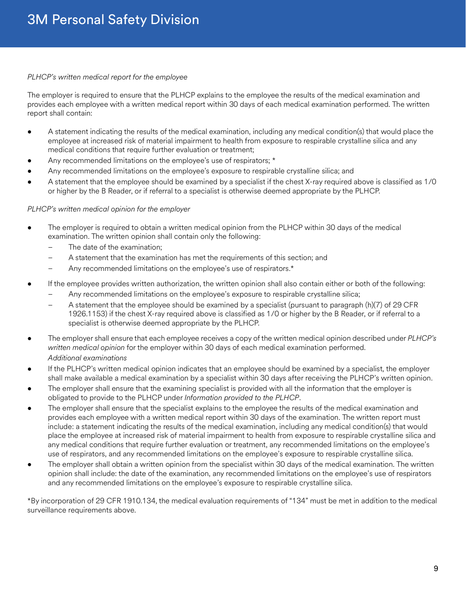#### *PLHCP's written medical report for the employee*

The employer is required to ensure that the PLHCP explains to the employee the results of the medical examination and provides each employee with a written medical report within 30 days of each medical examination performed. The written report shall contain:

- A statement indicating the results of the medical examination, including any medical condition(s) that would place the employee at increased risk of material impairment to health from exposure to respirable crystalline silica and any medical conditions that require further evaluation or treatment;
- Any recommended limitations on the employee's use of respirators; \*
- Any recommended limitations on the employee's exposure to respirable crystalline silica; and
- A statement that the employee should be examined by a specialist if the chest X-ray required above is classified as 1/0 or higher by the B Reader, or if referral to a specialist is otherwise deemed appropriate by the PLHCP.

#### *PLHCP's written medical opinion for the employer*

- The employer is required to obtain a written medical opinion from the PLHCP within 30 days of the medical examination. The written opinion shall contain only the following:
	- The date of the examination;
	- A statement that the examination has met the requirements of this section; and
	- Any recommended limitations on the employee's use of respirators.\*
- If the employee provides written authorization, the written opinion shall also contain either or both of the following:
	- Any recommended limitations on the employee's exposure to respirable crystalline silica;
	- A statement that the employee should be examined by a specialist (pursuant to paragraph (h)(7) of 29 CFR 1926.1153) if the chest X-ray required above is classified as 1/0 or higher by the B Reader, or if referral to a specialist is otherwise deemed appropriate by the PLHCP.
- The employer shall ensure that each employee receives a copy of the written medical opinion described under *PLHCP's written medical opinion* for the employer within 30 days of each medical examination performed. *Additional examinations*
- If the PLHCP's written medical opinion indicates that an employee should be examined by a specialist, the employer shall make available a medical examination by a specialist within 30 days after receiving the PLHCP's written opinion.
- The employer shall ensure that the examining specialist is provided with all the information that the employer is obligated to provide to the PLHCP under *Information provided to the PLHCP*.
- The employer shall ensure that the specialist explains to the employee the results of the medical examination and provides each employee with a written medical report within 30 days of the examination. The written report must include: a statement indicating the results of the medical examination, including any medical condition(s) that would place the employee at increased risk of material impairment to health from exposure to respirable crystalline silica and any medical conditions that require further evaluation or treatment, any recommended limitations on the employee's use of respirators, and any recommended limitations on the employee's exposure to respirable crystalline silica.
- The employer shall obtain a written opinion from the specialist within 30 days of the medical examination. The written opinion shall include: the date of the examination, any recommended limitations on the employee's use of respirators and any recommended limitations on the employee's exposure to respirable crystalline silica.

\*By incorporation of 29 CFR 1910.134, the medical evaluation requirements of "134" must be met in addition to the medical surveillance requirements above.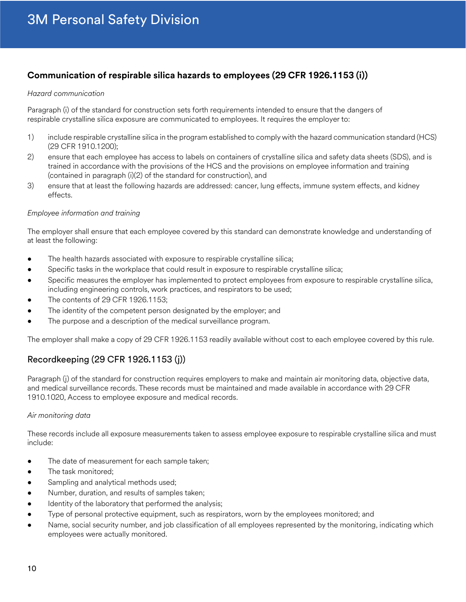### **Communication of respirable silica hazards to employees (29 CFR 1926.1153 (i))**

#### *Hazard communication*

Paragraph (i) of the standard for construction sets forth requirements intended to ensure that the dangers of respirable crystalline silica exposure are communicated to employees. It requires the employer to:

- 1) include respirable crystalline silica in the program established to comply with the hazard communication standard (HCS) (29 CFR 1910.1200);
- 2) ensure that each employee has access to labels on containers of crystalline silica and safety data sheets (SDS), and is trained in accordance with the provisions of the HCS and the provisions on employee information and training (contained in paragraph (i)(2) of the standard for construction), and
- 3) ensure that at least the following hazards are addressed: cancer, lung effects, immune system effects, and kidney effects.

### *Employee information and training*

The employer shall ensure that each employee covered by this standard can demonstrate knowledge and understanding of at least the following:

- The health hazards associated with exposure to respirable crystalline silica;
- Specific tasks in the workplace that could result in exposure to respirable crystalline silica;
- Specific measures the employer has implemented to protect employees from exposure to respirable crystalline silica, including engineering controls, work practices, and respirators to be used;
- The contents of 29 CFR 1926.1153;
- The identity of the competent person designated by the employer; and
- The purpose and a description of the medical surveillance program.

The employer shall make a copy of 29 CFR 1926.1153 readily available without cost to each employee covered by this rule.

### Recordkeeping (29 CFR 1926.1153 (j))

Paragraph (j) of the standard for construction requires employers to make and maintain air monitoring data, objective data, and medical surveillance records. These records must be maintained and made available in accordance with 29 CFR 1910.1020, Access to employee exposure and medical records.

### *Air monitoring data*

These records include all exposure measurements taken to assess employee exposure to respirable crystalline silica and must include:

- The date of measurement for each sample taken;
- The task monitored:
- Sampling and analytical methods used;
- Number, duration, and results of samples taken;
- Identity of the laboratory that performed the analysis;
- Type of personal protective equipment, such as respirators, worn by the employees monitored; and
- Name, social security number, and job classification of all employees represented by the monitoring, indicating which employees were actually monitored.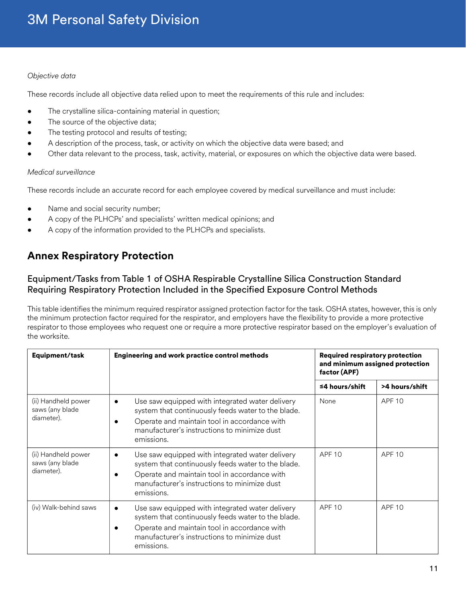### *Objective data*

These records include all objective data relied upon to meet the requirements of this rule and includes:

- The crystalline silica-containing material in question;
- The source of the objective data;
- The testing protocol and results of testing;
- A description of the process, task, or activity on which the objective data were based; and
- Other data relevant to the process, task, activity, material, or exposures on which the objective data were based.

### *Medical surveillance*

These records include an accurate record for each employee covered by medical surveillance and must include:

- Name and social security number;
- A copy of the PLHCPs' and specialists' written medical opinions; and
- A copy of the information provided to the PLHCPs and specialists.

### **Annex Respiratory Protection**

### Equipment/Tasks from Table 1 of OSHA Respirable Crystalline Silica Construction Standard Requiring Respiratory Protection Included in the Specified Exposure Control Methods

This table identifies the minimum required respirator assigned protection factor for the task. OSHA states, however, this is only the minimum protection factor required for the respirator, and employers have the flexibility to provide a more protective respirator to those employees who request one or require a more protective respirator based on the employer's evaluation of the worksite.

| Equipment/task                                       | <b>Engineering and work practice control methods</b>                                                                                                                                                                             | <b>Required respiratory protection</b><br>and minimum assigned protection<br>factor (APF) |                |
|------------------------------------------------------|----------------------------------------------------------------------------------------------------------------------------------------------------------------------------------------------------------------------------------|-------------------------------------------------------------------------------------------|----------------|
|                                                      |                                                                                                                                                                                                                                  | $≤4$ hours/shift                                                                          | >4 hours/shift |
| (ii) Handheld power<br>saws (any blade<br>diameter). | Use saw equipped with integrated water delivery<br>system that continuously feeds water to the blade.<br>Operate and maintain tool in accordance with<br>manufacturer's instructions to minimize dust<br>emissions.              | None                                                                                      | <b>APF 10</b>  |
| (ii) Handheld power<br>saws (any blade<br>diameter). | Use saw equipped with integrated water delivery<br>system that continuously feeds water to the blade.<br>Operate and maintain tool in accordance with<br>manufacturer's instructions to minimize dust<br>emissions.              | <b>APF 10</b>                                                                             | <b>APF 10</b>  |
| (iv) Walk-behind saws                                | Use saw equipped with integrated water delivery<br>$\bullet$<br>system that continuously feeds water to the blade.<br>Operate and maintain tool in accordance with<br>manufacturer's instructions to minimize dust<br>emissions. | APF <sub>10</sub>                                                                         | <b>APF 10</b>  |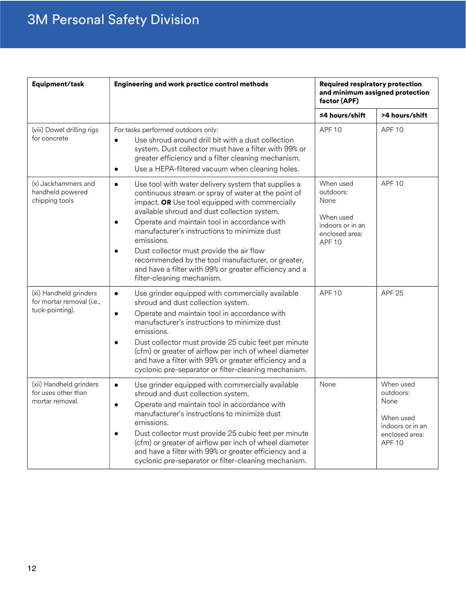# 3M Personal Safety Division

| Equipment/task                                                         | Engineering and work practice control methods                                                                                                                                                                                                                                                                                                                                                                                                                                                                                                              | <b>Required respiratory protection</b><br>and minimum assigned protection<br>factor (APF)          |                                                                                                    |
|------------------------------------------------------------------------|------------------------------------------------------------------------------------------------------------------------------------------------------------------------------------------------------------------------------------------------------------------------------------------------------------------------------------------------------------------------------------------------------------------------------------------------------------------------------------------------------------------------------------------------------------|----------------------------------------------------------------------------------------------------|----------------------------------------------------------------------------------------------------|
|                                                                        |                                                                                                                                                                                                                                                                                                                                                                                                                                                                                                                                                            | ≤4 hours/shift                                                                                     | >4 hours/shift                                                                                     |
| (viii) Dowel drilling rigs<br>for concrete                             | For tasks performed outdoors only:<br>Use shroud around drill bit with a dust collection<br>$\bullet$<br>system. Dust collector must have a filter with 99% or<br>greater efficiency and a filter cleaning mechanism.<br>Use a HEPA-filtered vacuum when cleaning holes.<br>$\bullet$                                                                                                                                                                                                                                                                      | APF <sub>10</sub>                                                                                  | <b>APF 10</b>                                                                                      |
| (x) Jackhammers and<br>handheld powered<br>chipping tools              | Use tool with water delivery system that supplies a<br>$\bullet$<br>continuous stream or spray of water at the point of<br>impact. OR Use tool equipped with commercially<br>available shroud and dust collection system.<br>Operate and maintain tool in accordance with<br>$\bullet$<br>manufacturer's instructions to minimize dust<br>emissions.<br>Dust collector must provide the air flow<br>$\bullet$<br>recommended by the tool manufacturer, or greater,<br>and have a filter with 99% or greater efficiency and a<br>filter-cleaning mechanism. | When used<br>outdoors:<br>None<br>When used<br>indoors or in an<br>enclosed area:<br><b>APF 10</b> | <b>APF 10</b>                                                                                      |
| (xi) Handheld grinders<br>for mortar removal (i.e.,<br>tuck-pointing). | Use grinder equipped with commercially available<br>$\bullet$<br>shroud and dust collection system.<br>Operate and maintain tool in accordance with<br>$\bullet$<br>manufacturer's instructions to minimize dust<br>emissions.<br>Dust collector must provide 25 cubic feet per minute<br>$\bullet$<br>(cfm) or greater of airflow per inch of wheel diameter<br>and have a filter with 99% or greater efficiency and a<br>cyclonic pre-separator or filter-cleaning mechanism.                                                                            | <b>APF 10</b>                                                                                      | <b>APF 25</b>                                                                                      |
| (xii) Handheld grinders<br>for uses other than<br>mortar removal.      | Use grinder equipped with commercially available<br>$\bullet$<br>shroud and dust collection system.<br>Operate and maintain tool in accordance with<br>$\bullet$<br>manufacturer's instructions to minimize dust<br>emissions.<br>Dust collector must provide 25 cubic feet per minute<br>(cfm) or greater of airflow per inch of wheel diameter<br>and have a filter with 99% or greater efficiency and a<br>cyclonic pre-separator or filter-cleaning mechanism.                                                                                         | None                                                                                               | When used<br>outdoors:<br>None<br>When used<br>indoors or in an<br>enclosed area:<br><b>APF 10</b> |